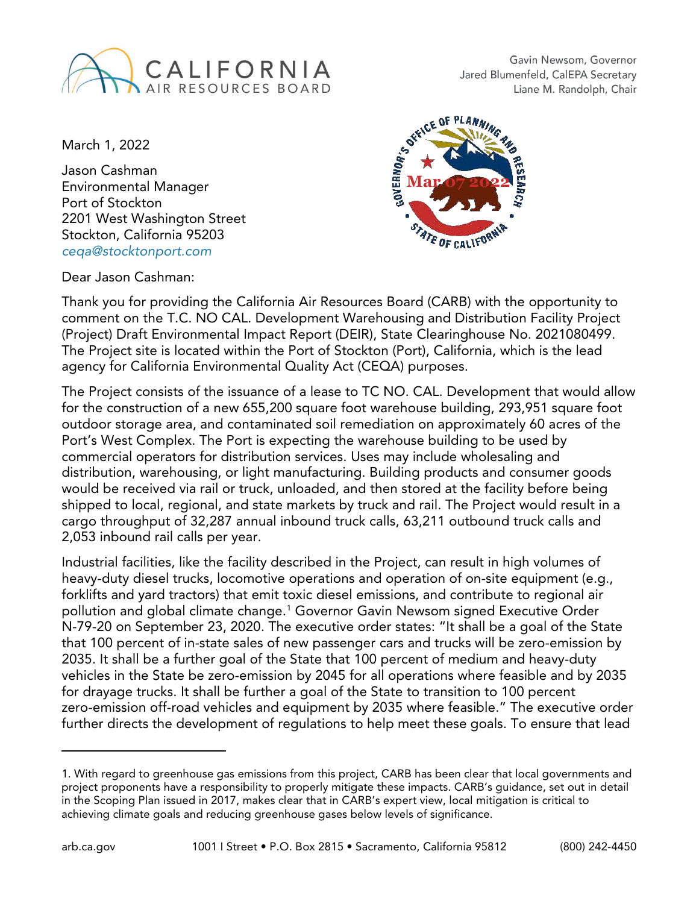

Gavin Newsom, Governor Jared Blumenfeld, CalEPA Secretary Liane M. Randolph, Chair

March 1, 2022

Jason Cashman Environmental Manager Port of Stockton 2201 West Washington Street Stockton, California 95203 *[ceqa@stocktonport.com](mailto:ceqa@stocktonport.com)*

Dear Jason Cashman:



Thank you for providing the California Air Resources Board (CARB) with the opportunity to comment on the T.C. NO CAL. Development Warehousing and Distribution Facility Project (Project) Draft Environmental Impact Report (DEIR), State Clearinghouse No. 2021080499. The Project site is located within the Port of Stockton (Port), California, which is the lead agency for California Environmental Quality Act (CEQA) purposes.

The Project consists of the issuance of a lease to TC NO. CAL. Development that would allow for the construction of a new 655,200 square foot warehouse building, 293,951 square foot outdoor storage area, and contaminated soil remediation on approximately 60 acres of the Port's West Complex. The Port is expecting the warehouse building to be used by commercial operators for distribution services. Uses may include wholesaling and distribution, warehousing, or light manufacturing. Building products and consumer goods would be received via rail or truck, unloaded, and then stored at the facility before being shipped to local, regional, and state markets by truck and rail. The Project would result in a cargo throughput of 32,287 annual inbound truck calls, 63,211 outbound truck calls and 2,053 inbound rail calls per year.

Industrial facilities, like the facility described in the Project, can result in high volumes of heavy-duty diesel trucks, locomotive operations and operation of on-site equipment (e.g., forklifts and yard tractors) that emit toxic diesel emissions, and contribute to regional air pollution and global climate change.[1](#page-0-0) Governor Gavin Newsom signed Executive Order N-79-20 on September 23, 2020. The executive order states: "It shall be a goal of the State that 100 percent of in-state sales of new passenger cars and trucks will be zero-emission by 2035. It shall be a further goal of the State that 100 percent of medium and heavy-duty vehicles in the State be zero-emission by 2045 for all operations where feasible and by 2035 for drayage trucks. It shall be further a goal of the State to transition to 100 percent zero-emission off-road vehicles and equipment by 2035 where feasible." The executive order further directs the development of regulations to help meet these goals. To ensure that lead

<span id="page-0-0"></span><sup>1.</sup> With regard to greenhouse gas emissions from this project, CARB has been clear that local governments and project proponents have a responsibility to properly mitigate these impacts. CARB's guidance, set out in detail in the Scoping Plan issued in 2017, makes clear that in CARB's expert view, local mitigation is critical to achieving climate goals and reducing greenhouse gases below levels of significance.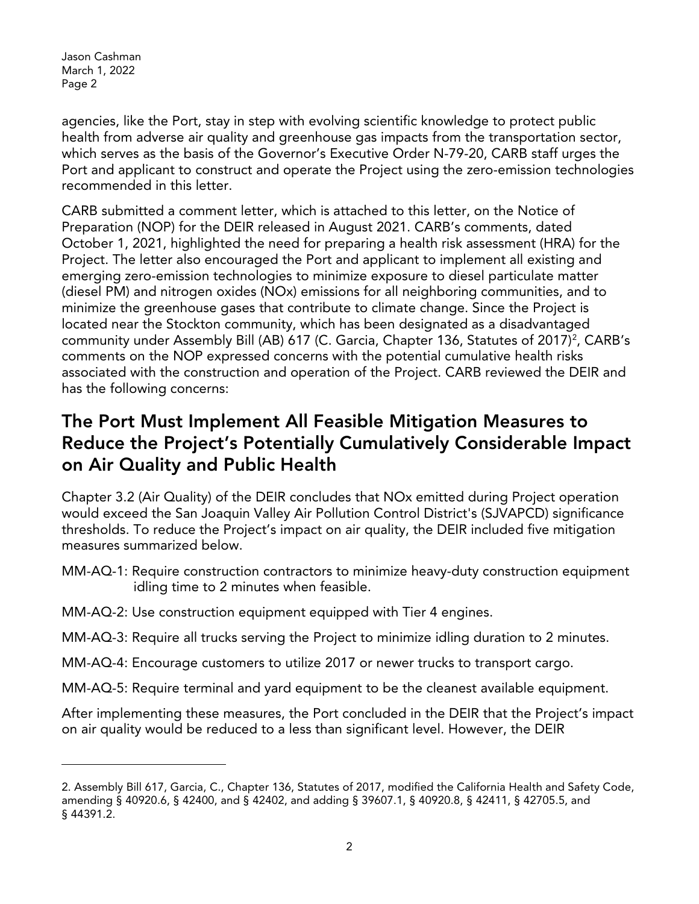agencies, like the Port, stay in step with evolving scientific knowledge to protect public health from adverse air quality and greenhouse gas impacts from the transportation sector, which serves as the basis of the Governor's Executive Order N-79-20, CARB staff urges the Port and applicant to construct and operate the Project using the zero-emission technologies recommended in this letter.

CARB submitted a comment letter, which is attached to this letter, on the Notice of Preparation (NOP) for the DEIR released in August 2021. CARB's comments, dated October 1, 2021, highlighted the need for preparing a health risk assessment (HRA) for the Project. The letter also encouraged the Port and applicant to implement all existing and emerging zero-emission technologies to minimize exposure to diesel particulate matter (diesel PM) and nitrogen oxides (NOx) emissions for all neighboring communities, and to minimize the greenhouse gases that contribute to climate change. Since the Project is located near the Stockton community, which has been designated as a disadvantaged community under Assembly Bill (AB) 617 (C. Garcia, Chapter 136, Statutes of 2017)<sup>2</sup>, CARB's comments on the NOP expressed concerns with the potential cumulative health risks associated with the construction and operation of the Project. CARB reviewed the DEIR and has the following concerns:

#### The Port Must Implement All Feasible Mitigation Measures to Reduce the Project's Potentially Cumulatively Considerable Impact on Air Quality and Public Health

Chapter 3.2 (Air Quality) of the DEIR concludes that NOx emitted during Project operation would exceed the San Joaquin Valley Air Pollution Control District's (SJVAPCD) significance thresholds. To reduce the Project's impact on air quality, the DEIR included five mitigation measures summarized below.

- MM-AQ-1: Require construction contractors to minimize heavy-duty construction equipment idling time to 2 minutes when feasible.
- MM-AQ-2: Use construction equipment equipped with Tier 4 engines.
- MM-AQ-3: Require all trucks serving the Project to minimize idling duration to 2 minutes.
- MM-AQ-4: Encourage customers to utilize 2017 or newer trucks to transport cargo.
- MM-AQ-5: Require terminal and yard equipment to be the cleanest available equipment.

After implementing these measures, the Port concluded in the DEIR that the Project's impact on air quality would be reduced to a less than significant level. However, the DEIR

<span id="page-1-0"></span><sup>2.</sup> Assembly Bill 617, Garcia, C., Chapter 136, Statutes of 2017, modified the California Health and Safety Code, amending § 40920.6, § 42400, and § 42402, and adding § 39607.1, § 40920.8, § 42411, § 42705.5, and § 44391.2.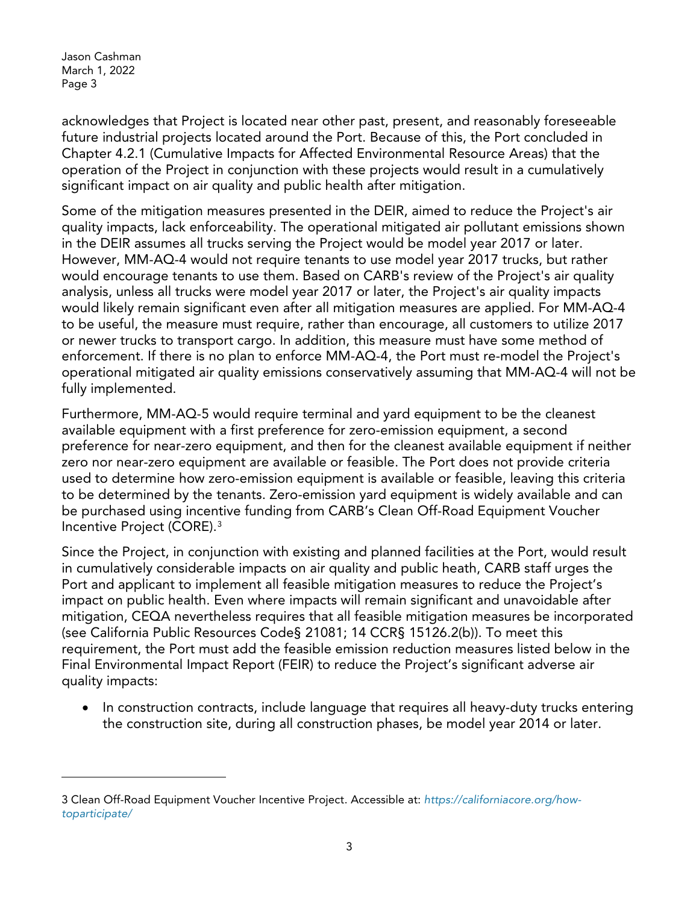acknowledges that Project is located near other past, present, and reasonably foreseeable future industrial projects located around the Port. Because of this, the Port concluded in Chapter 4.2.1 (Cumulative Impacts for Affected Environmental Resource Areas) that the operation of the Project in conjunction with these projects would result in a cumulatively significant impact on air quality and public health after mitigation.

Some of the mitigation measures presented in the DEIR, aimed to reduce the Project's air quality impacts, lack enforceability. The operational mitigated air pollutant emissions shown in the DEIR assumes all trucks serving the Project would be model year 2017 or later. However, MM-AQ-4 would not require tenants to use model year 2017 trucks, but rather would encourage tenants to use them. Based on CARB's review of the Project's air quality analysis, unless all trucks were model year 2017 or later, the Project's air quality impacts would likely remain significant even after all mitigation measures are applied. For MM-AQ-4 to be useful, the measure must require, rather than encourage, all customers to utilize 2017 or newer trucks to transport cargo. In addition, this measure must have some method of enforcement. If there is no plan to enforce MM-AQ-4, the Port must re-model the Project's operational mitigated air quality emissions conservatively assuming that MM-AQ-4 will not be fully implemented.

Furthermore, MM-AQ-5 would require terminal and yard equipment to be the cleanest available equipment with a first preference for zero-emission equipment, a second preference for near-zero equipment, and then for the cleanest available equipment if neither zero nor near-zero equipment are available or feasible. The Port does not provide criteria used to determine how zero-emission equipment is available or feasible, leaving this criteria to be determined by the tenants. Zero-emission yard equipment is widely available and can be purchased using incentive funding from CARB's Clean Off-Road Equipment Voucher Incentive Project (CORE).[3](#page-2-0)

Since the Project, in conjunction with existing and planned facilities at the Port, would result in cumulatively considerable impacts on air quality and public heath, CARB staff urges the Port and applicant to implement all feasible mitigation measures to reduce the Project's impact on public health. Even where impacts will remain significant and unavoidable after mitigation, CEQA nevertheless requires that all feasible mitigation measures be incorporated (see California Public Resources Code§ 21081; 14 CCR§ 15126.2(b)). To meet this requirement, the Port must add the feasible emission reduction measures listed below in the Final Environmental Impact Report (FEIR) to reduce the Project's significant adverse air quality impacts:

• In construction contracts, include language that requires all heavy-duty trucks entering the construction site, during all construction phases, be model year 2014 or later.

<span id="page-2-0"></span><sup>3</sup> Clean Off-Road Equipment Voucher Incentive Project. Accessible at: *[https://californiacore.org/how](https://californiacore.org/how-toparticipate/)[toparticipate/](https://californiacore.org/how-toparticipate/)*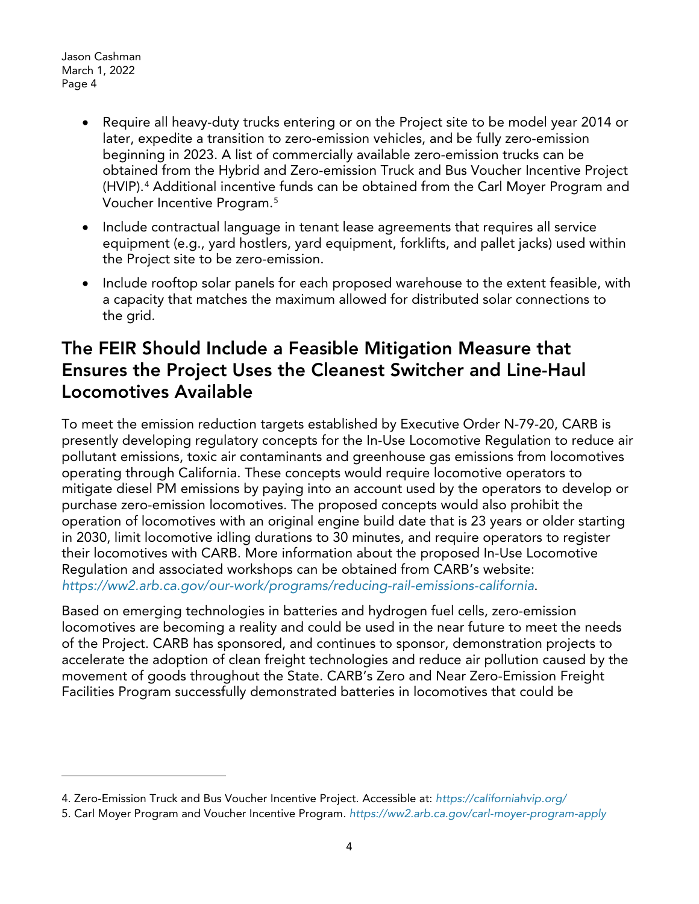- Require all heavy-duty trucks entering or on the Project site to be model year 2014 or later, expedite a transition to zero-emission vehicles, and be fully zero-emission beginning in 2023. A list of commercially available zero-emission trucks can be obtained from the Hybrid and Zero-emission Truck and Bus Voucher Incentive Project (HVIP).[4](#page-3-0) Additional incentive funds can be obtained from the Carl Moyer Program and Voucher Incentive Program.[5](#page-3-1)
- Include contractual language in tenant lease agreements that requires all service equipment (e.g., yard hostlers, yard equipment, forklifts, and pallet jacks) used within the Project site to be zero-emission.
- Include rooftop solar panels for each proposed warehouse to the extent feasible, with a capacity that matches the maximum allowed for distributed solar connections to the grid.

### The FEIR Should Include a Feasible Mitigation Measure that Ensures the Project Uses the Cleanest Switcher and Line-Haul Locomotives Available

To meet the emission reduction targets established by Executive Order N-79-20, CARB is presently developing regulatory concepts for the In-Use Locomotive Regulation to reduce air pollutant emissions, toxic air contaminants and greenhouse gas emissions from locomotives operating through California. These concepts would require locomotive operators to mitigate diesel PM emissions by paying into an account used by the operators to develop or purchase zero-emission locomotives. The proposed concepts would also prohibit the operation of locomotives with an original engine build date that is 23 years or older starting in 2030, limit locomotive idling durations to 30 minutes, and require operators to register their locomotives with CARB. More information about the proposed In-Use Locomotive Regulation and associated workshops can be obtained from CARB's website: *<https://ww2.arb.ca.gov/our-work/programs/reducing-rail-emissions-california>*.

Based on emerging technologies in batteries and hydrogen fuel cells, zero-emission locomotives are becoming a reality and could be used in the near future to meet the needs of the Project. CARB has sponsored, and continues to sponsor, demonstration projects to accelerate the adoption of clean freight technologies and reduce air pollution caused by the movement of goods throughout the State. CARB's Zero and Near Zero-Emission Freight Facilities Program successfully demonstrated batteries in locomotives that could be

<span id="page-3-0"></span><sup>4.</sup> Zero-Emission Truck and Bus Voucher Incentive Project. Accessible at: *<https://californiahvip.org/>*

<span id="page-3-1"></span><sup>5.</sup> Carl Moyer Program and Voucher Incentive Program. *<https://ww2.arb.ca.gov/carl-moyer-program-apply>*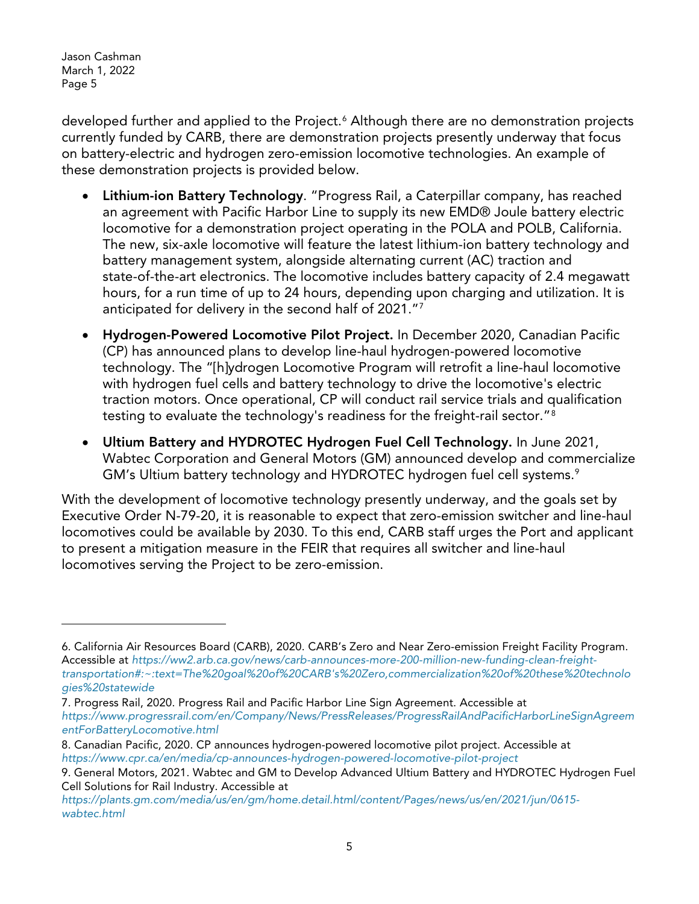developed further and applied to the Project.<sup>[6](#page-4-0)</sup> Although there are no demonstration projects currently funded by CARB, there are demonstration projects presently underway that focus on battery-electric and hydrogen zero-emission locomotive technologies. An example of these demonstration projects is provided below.

- Lithium-ion Battery Technology. "Progress Rail, a Caterpillar company, has reached an agreement with Pacific Harbor Line to supply its new EMD® Joule battery electric locomotive for a demonstration project operating in the POLA and POLB, California. The new, six-axle locomotive will feature the latest lithium-ion battery technology and battery management system, alongside alternating current (AC) traction and state-of-the-art electronics. The locomotive includes battery capacity of 2.4 megawatt hours, for a run time of up to 24 hours, depending upon charging and utilization. It is anticipated for delivery in the second half of 2021.["7](#page-4-1)
- Hydrogen-Powered Locomotive Pilot Project. In December 2020, Canadian Pacific (CP) has announced plans to develop line-haul hydrogen-powered locomotive technology. The "[h]ydrogen Locomotive Program will retrofit a line-haul locomotive with hydrogen fuel cells and battery technology to drive the locomotive's electric traction motors. Once operational, CP will conduct rail service trials and qualification testing to evaluate the technology's readiness for the freight-rail sector."[8](#page-4-2)
- Ultium Battery and HYDROTEC Hydrogen Fuel Cell Technology. In June 2021, Wabtec Corporation and General Motors (GM) announced develop and commercialize GM's Ultium battery technology and HYDROTEC hydrogen fuel cell systems. [9](#page-4-3)

With the development of locomotive technology presently underway, and the goals set by Executive Order N-79-20, it is reasonable to expect that zero-emission switcher and line-haul locomotives could be available by 2030. To this end, CARB staff urges the Port and applicant to present a mitigation measure in the FEIR that requires all switcher and line-haul locomotives serving the Project to be zero-emission.

<span id="page-4-0"></span><sup>6.</sup> California Air Resources Board (CARB), 2020. CARB's Zero and Near Zero-emission Freight Facility Program. Accessible at *[https://ww2.arb.ca.gov/news/carb-announces-more-200-million-new-funding-clean-freight](https://ww2.arb.ca.gov/news/carb-announces-more-200-million-new-funding-clean-freight-transportation#:%7E:text=The%20goal%20of%20CARB)[transportation#:~:text=The%20goal%20of%20CARB's%20Zero,commercialization%20of%20these%20technolo](https://ww2.arb.ca.gov/news/carb-announces-more-200-million-new-funding-clean-freight-transportation#:%7E:text=The%20goal%20of%20CARB) [gies%20statewide](https://ww2.arb.ca.gov/news/carb-announces-more-200-million-new-funding-clean-freight-transportation#:%7E:text=The%20goal%20of%20CARB)*

<span id="page-4-1"></span><sup>7.</sup> Progress Rail, 2020. Progress Rail and Pacific Harbor Line Sign Agreement. Accessible at *[https://www.progressrail.com/en/Company/News/PressReleases/ProgressRailAndPacificHarborLineSignAgreem](https://www.progressrail.com/en/Company/News/PressReleases/ProgressRailAndPacificHarborLineSignAgreementForBatteryLocomotive.html) [entForBatteryLocomotive.html](https://www.progressrail.com/en/Company/News/PressReleases/ProgressRailAndPacificHarborLineSignAgreementForBatteryLocomotive.html)*

<span id="page-4-2"></span><sup>8.</sup> Canadian Pacific, 2020. CP announces hydrogen-powered locomotive pilot project. Accessible at *<https://www.cpr.ca/en/media/cp-announces-hydrogen-powered-locomotive-pilot-project>*

<span id="page-4-3"></span><sup>9.</sup> General Motors, 2021. Wabtec and GM to Develop Advanced Ultium Battery and HYDROTEC Hydrogen Fuel Cell Solutions for Rail Industry. Accessible at

*[https://plants.gm.com/media/us/en/gm/home.detail.html/content/Pages/news/us/en/2021/jun/0615](https://plants.gm.com/media/us/en/gm/home.detail.html/content/Pages/news/us/en/2021/jun/0615-wabtec.html) [wabtec.html](https://plants.gm.com/media/us/en/gm/home.detail.html/content/Pages/news/us/en/2021/jun/0615-wabtec.html)*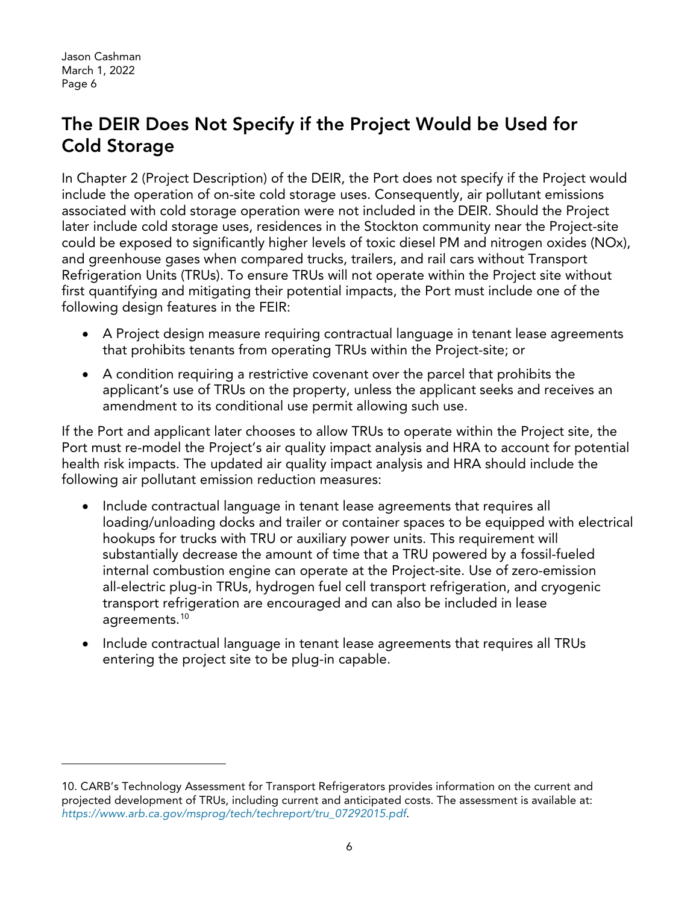# The DEIR Does Not Specify if the Project Would be Used for Cold Storage

In Chapter 2 (Project Description) of the DEIR, the Port does not specify if the Project would include the operation of on-site cold storage uses. Consequently, air pollutant emissions associated with cold storage operation were not included in the DEIR. Should the Project later include cold storage uses, residences in the Stockton community near the Project-site could be exposed to significantly higher levels of toxic diesel PM and nitrogen oxides (NOx), and greenhouse gases when compared trucks, trailers, and rail cars without Transport Refrigeration Units (TRUs). To ensure TRUs will not operate within the Project site without first quantifying and mitigating their potential impacts, the Port must include one of the following design features in the FEIR:

- A Project design measure requiring contractual language in tenant lease agreements that prohibits tenants from operating TRUs within the Project-site; or
- A condition requiring a restrictive covenant over the parcel that prohibits the applicant's use of TRUs on the property, unless the applicant seeks and receives an amendment to its conditional use permit allowing such use.

If the Port and applicant later chooses to allow TRUs to operate within the Project site, the Port must re-model the Project's air quality impact analysis and HRA to account for potential health risk impacts. The updated air quality impact analysis and HRA should include the following air pollutant emission reduction measures:

- Include contractual language in tenant lease agreements that requires all loading/unloading docks and trailer or container spaces to be equipped with electrical hookups for trucks with TRU or auxiliary power units. This requirement will substantially decrease the amount of time that a TRU powered by a fossil-fueled internal combustion engine can operate at the Project-site. Use of zero-emission all-electric plug-in TRUs, hydrogen fuel cell transport refrigeration, and cryogenic transport refrigeration are encouraged and can also be included in lease agreements.[10](#page-5-0)
- Include contractual language in tenant lease agreements that requires all TRUs entering the project site to be plug-in capable.

<span id="page-5-0"></span><sup>10.</sup> CARB's Technology Assessment for Transport Refrigerators provides information on the current and projected development of TRUs, including current and anticipated costs. The assessment is available at: *[https://www.arb.ca.gov/msprog/tech/techreport/tru\\_07292015.pdf](https://www.arb.ca.gov/msprog/tech/techreport/tru_07292015.pdf)*.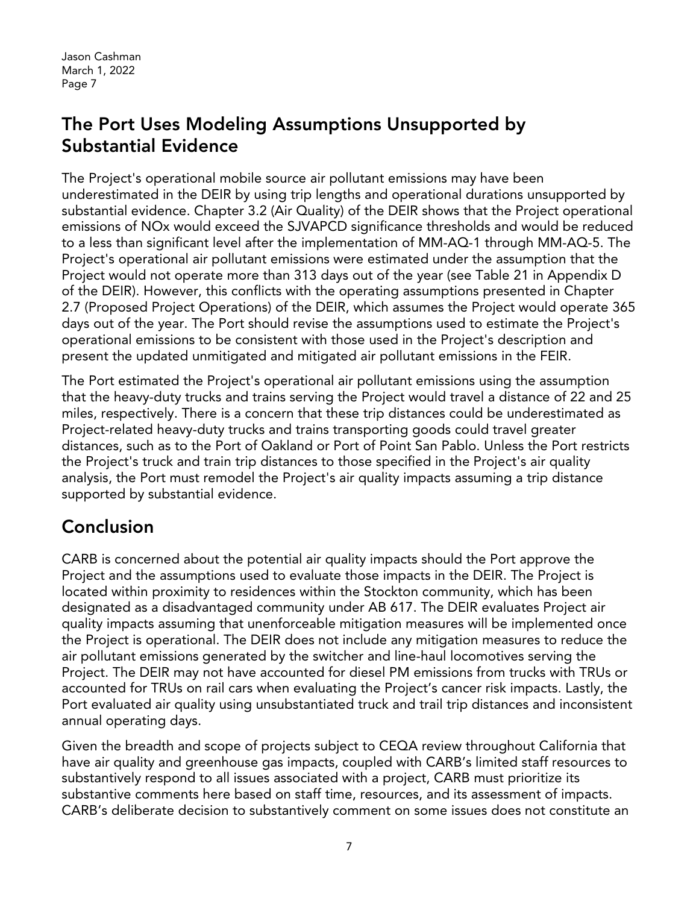## The Port Uses Modeling Assumptions Unsupported by Substantial Evidence

The Project's operational mobile source air pollutant emissions may have been underestimated in the DEIR by using trip lengths and operational durations unsupported by substantial evidence. Chapter 3.2 (Air Quality) of the DEIR shows that the Project operational emissions of NOx would exceed the SJVAPCD significance thresholds and would be reduced to a less than significant level after the implementation of MM-AQ-1 through MM-AQ-5. The Project's operational air pollutant emissions were estimated under the assumption that the Project would not operate more than 313 days out of the year (see Table 21 in Appendix D of the DEIR). However, this conflicts with the operating assumptions presented in Chapter 2.7 (Proposed Project Operations) of the DEIR, which assumes the Project would operate 365 days out of the year. The Port should revise the assumptions used to estimate the Project's operational emissions to be consistent with those used in the Project's description and present the updated unmitigated and mitigated air pollutant emissions in the FEIR.

The Port estimated the Project's operational air pollutant emissions using the assumption that the heavy-duty trucks and trains serving the Project would travel a distance of 22 and 25 miles, respectively. There is a concern that these trip distances could be underestimated as Project-related heavy-duty trucks and trains transporting goods could travel greater distances, such as to the Port of Oakland or Port of Point San Pablo. Unless the Port restricts the Project's truck and train trip distances to those specified in the Project's air quality analysis, the Port must remodel the Project's air quality impacts assuming a trip distance supported by substantial evidence.

# Conclusion

CARB is concerned about the potential air quality impacts should the Port approve the Project and the assumptions used to evaluate those impacts in the DEIR. The Project is located within proximity to residences within the Stockton community, which has been designated as a disadvantaged community under AB 617. The DEIR evaluates Project air quality impacts assuming that unenforceable mitigation measures will be implemented once the Project is operational. The DEIR does not include any mitigation measures to reduce the air pollutant emissions generated by the switcher and line-haul locomotives serving the Project. The DEIR may not have accounted for diesel PM emissions from trucks with TRUs or accounted for TRUs on rail cars when evaluating the Project's cancer risk impacts. Lastly, the Port evaluated air quality using unsubstantiated truck and trail trip distances and inconsistent annual operating days.

Given the breadth and scope of projects subject to CEQA review throughout California that have air quality and greenhouse gas impacts, coupled with CARB's limited staff resources to substantively respond to all issues associated with a project, CARB must prioritize its substantive comments here based on staff time, resources, and its assessment of impacts. CARB's deliberate decision to substantively comment on some issues does not constitute an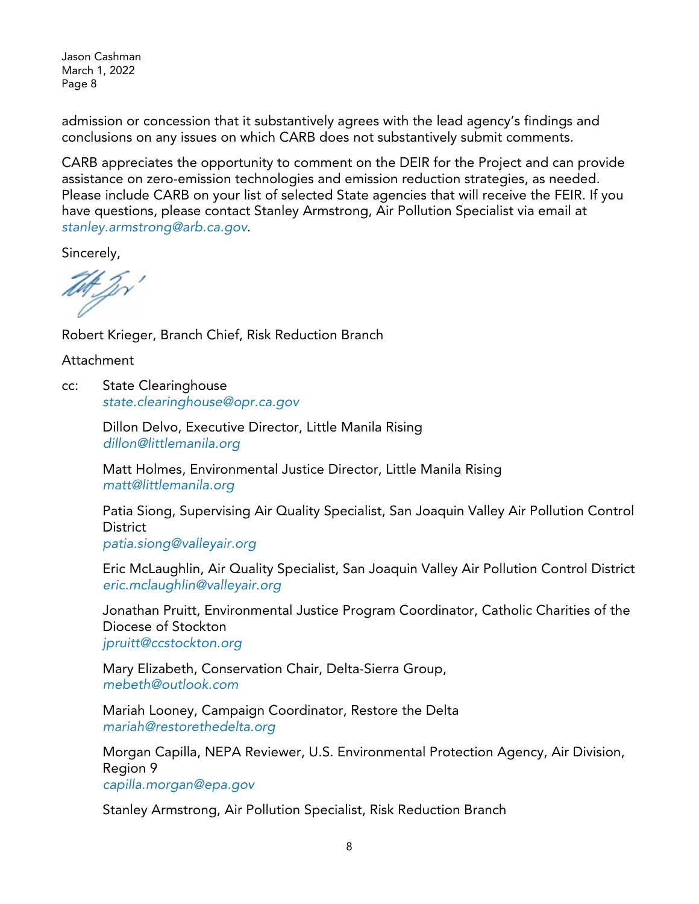admission or concession that it substantively agrees with the lead agency's findings and conclusions on any issues on which CARB does not substantively submit comments.

CARB appreciates the opportunity to comment on the DEIR for the Project and can provide assistance on zero-emission technologies and emission reduction strategies, as needed. Please include CARB on your list of selected State agencies that will receive the FEIR. If you have questions, please contact Stanley Armstrong, Air Pollution Specialist via email at *[stanley.armstrong@arb.ca.gov](mailto:stanley.armstrong@arb.ca.gov)*.

Sincerely,

Robert Krieger, Branch Chief, Risk Reduction Branch

Attachment

cc: State Clearinghouse *[state.clearinghouse@opr.ca.gov](mailto:state.clearinghouse@opr.ca.gov)*

> Dillon Delvo, Executive Director, Little Manila Rising *[dillon@littlemanila.org](mailto:dillon@littlemanila.org)*

Matt Holmes, Environmental Justice Director, Little Manila Rising *[matt@littlemanila.org](mailto:matt@littlemanila.org)*

Patia Siong, Supervising Air Quality Specialist, San Joaquin Valley Air Pollution Control **District** *[patia.siong@valleyair.org](mailto:patia.siong@valleyair.org)*

Eric McLaughlin, Air Quality Specialist, San Joaquin Valley Air Pollution Control District *[eric.mclaughlin@valleyair.org](http://eric.mclaughlin@valleyair.org/)*

Jonathan Pruitt, Environmental Justice Program Coordinator, Catholic Charities of the Diocese of Stockton *[jpruitt@ccstockton.org](mailto:jpruitt@ccstockton.org)*

Mary Elizabeth, Conservation Chair, Delta-Sierra Group, *[mebeth@outlook.com](mailto:mebeth@outlook.com)*

Mariah Looney, Campaign Coordinator, Restore the Delta *[mariah@restorethedelta.org](mailto:mariah@restorethedelta.org)*

Morgan Capilla, NEPA Reviewer, U.S. Environmental Protection Agency, Air Division, Region 9

*[capilla.morgan@epa.gov](mailto:capilla.morgan@epa.gov)*

Stanley Armstrong, Air Pollution Specialist, Risk Reduction Branch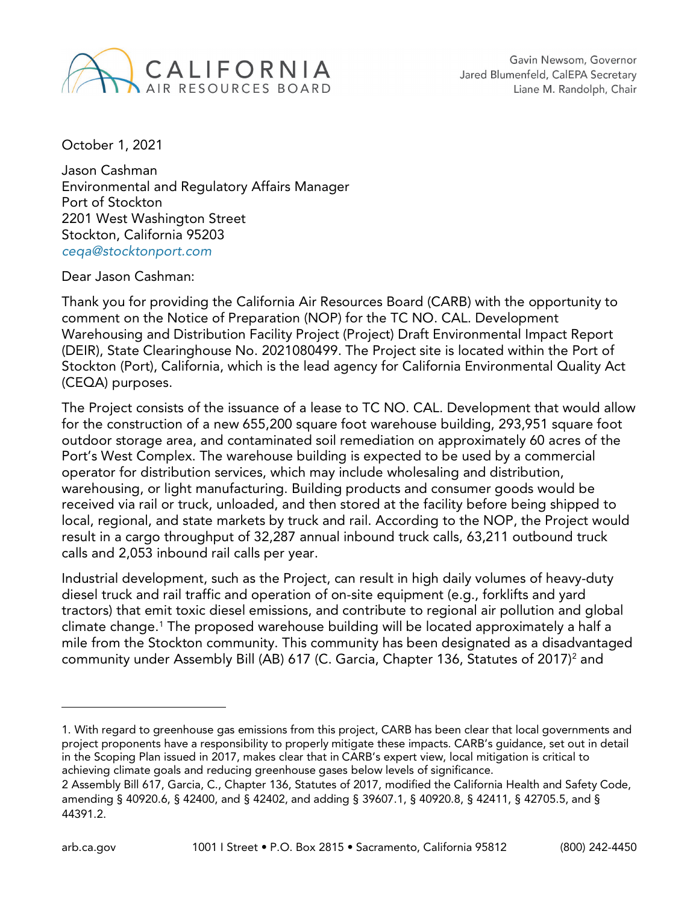

October 1, 2021

Jason Cashman Environmental and Regulatory Affairs Manager Port of Stockton 2201 West Washington Street Stockton, California 95203 *[ceqa@stocktonport.com](mailto:ceqa@stocktonport.com)*

Dear Jason Cashman:

Thank you for providing the California Air Resources Board (CARB) with the opportunity to comment on the Notice of Preparation (NOP) for the TC NO. CAL. Development Warehousing and Distribution Facility Project (Project) Draft Environmental Impact Report (DEIR), State Clearinghouse No. 2021080499. The Project site is located within the Port of Stockton (Port), California, which is the lead agency for California Environmental Quality Act (CEQA) purposes.

The Project consists of the issuance of a lease to TC NO. CAL. Development that would allow for the construction of a new 655,200 square foot warehouse building, 293,951 square foot outdoor storage area, and contaminated soil remediation on approximately 60 acres of the Port's West Complex. The warehouse building is expected to be used by a commercial operator for distribution services, which may include wholesaling and distribution, warehousing, or light manufacturing. Building products and consumer goods would be received via rail or truck, unloaded, and then stored at the facility before being shipped to local, regional, and state markets by truck and rail. According to the NOP, the Project would result in a cargo throughput of 32,287 annual inbound truck calls, 63,211 outbound truck calls and 2,053 inbound rail calls per year.

Industrial development, such as the Project, can result in high daily volumes of heavy-duty diesel truck and rail traffic and operation of on-site equipment (e.g., forklifts and yard tractors) that emit toxic diesel emissions, and contribute to regional air pollution and global climate change[.1](#page-8-0) The proposed warehouse building will be located approximately a half a mile from the Stockton community. This community has been designated as a disadvantaged community under Assembly Bill (AB) 617 (C. Garcia, Chapter 136, Statutes of 2017)<sup>2</sup> and

<span id="page-8-0"></span><sup>1.</sup> With regard to greenhouse gas emissions from this project, CARB has been clear that local governments and project proponents have a responsibility to properly mitigate these impacts. CARB's guidance, set out in detail in the Scoping Plan issued in 2017, makes clear that in CARB's expert view, local mitigation is critical to achieving climate goals and reducing greenhouse gases below levels of significance.

<span id="page-8-1"></span><sup>2</sup> Assembly Bill 617, Garcia, C., Chapter 136, Statutes of 2017, modified the California Health and Safety Code, amending § 40920.6, § 42400, and § 42402, and adding § 39607.1, § 40920.8, § 42411, § 42705.5, and § 44391.2.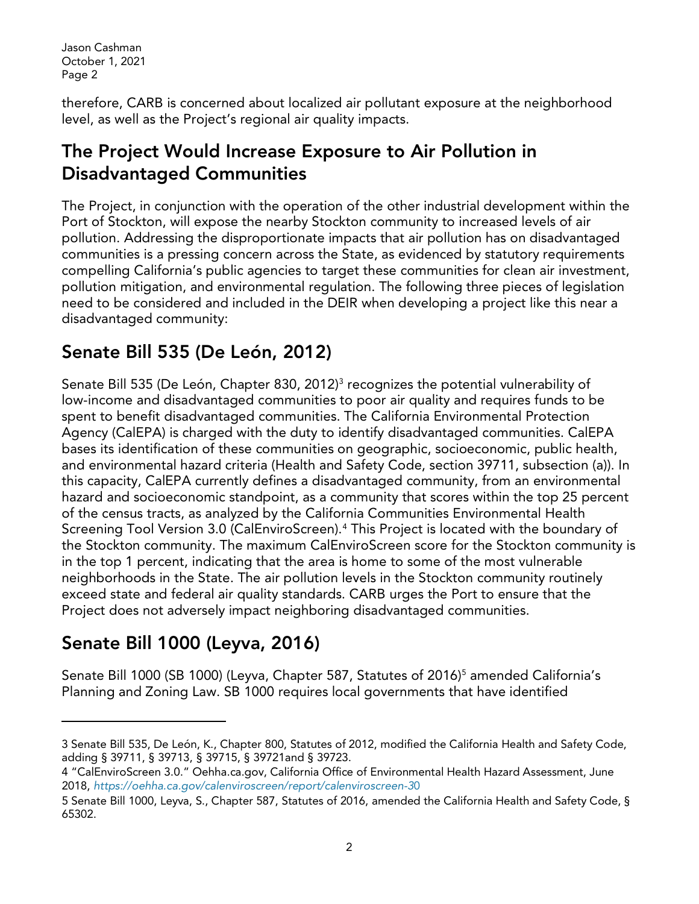therefore, CARB is concerned about localized air pollutant exposure at the neighborhood level, as well as the Project's regional air quality impacts.

# The Project Would Increase Exposure to Air Pollution in Disadvantaged Communities

The Project, in conjunction with the operation of the other industrial development within the Port of Stockton, will expose the nearby Stockton community to increased levels of air pollution. Addressing the disproportionate impacts that air pollution has on disadvantaged communities is a pressing concern across the State, as evidenced by statutory requirements compelling California's public agencies to target these communities for clean air investment, pollution mitigation, and environmental regulation. The following three pieces of legislation need to be considered and included in the DEIR when developing a project like this near a disadvantaged community:

# Senate Bill 535 (De León, 2012)

Senate Bill 5[3](#page-9-0)5 (De León, Chapter 830, 2012)<sup>3</sup> recognizes the potential vulnerability of low-income and disadvantaged communities to poor air quality and requires funds to be spent to benefit disadvantaged communities. The California Environmental Protection Agency (CalEPA) is charged with the duty to identify disadvantaged communities. CalEPA bases its identification of these communities on geographic, socioeconomic, public health, and environmental hazard criteria (Health and Safety Code, section 39711, subsection (a)). In this capacity, CalEPA currently defines a disadvantaged community, from an environmental hazard and socioeconomic standpoint, as a community that scores within the top 25 percent of the census tracts, as analyzed by the California Communities Environmental Health Screening Tool Version 3.0 (CalEnviroScreen).[4](#page-9-1) This Project is located with the boundary of the Stockton community. The maximum CalEnviroScreen score for the Stockton community is in the top 1 percent, indicating that the area is home to some of the most vulnerable neighborhoods in the State. The air pollution levels in the Stockton community routinely exceed state and federal air quality standards. CARB urges the Port to ensure that the Project does not adversely impact neighboring disadvantaged communities.

# Senate Bill 1000 (Leyva, 2016)

Senate Bill 1000 (SB 1000) (Leyva, Chapter [5](#page-9-2)87, Statutes of 2016)<sup>5</sup> amended California's Planning and Zoning Law. SB 1000 requires local governments that have identified

<span id="page-9-0"></span><sup>3</sup> Senate Bill 535, De León, K., Chapter 800, Statutes of 2012, modified the California Health and Safety Code, adding § 39711, § 39713, § 39715, § 39721and § 39723.

<span id="page-9-1"></span><sup>4 &</sup>quot;CalEnviroScreen 3.0." Oehha.ca.gov, California Office of Environmental Health Hazard Assessment, June 2018, *[https://oehha.ca.gov/calenviroscreen/report/calenviroscreen-3](https://oehha.ca.gov/calenviroscreen/report/calenviroscreen-30)*[0](https://oehha.ca.gov/calenviroscreen/report/calenviroscreen-30) 

<span id="page-9-2"></span><sup>5</sup> Senate Bill 1000, Leyva, S., Chapter 587, Statutes of 2016, amended the California Health and Safety Code, § 65302.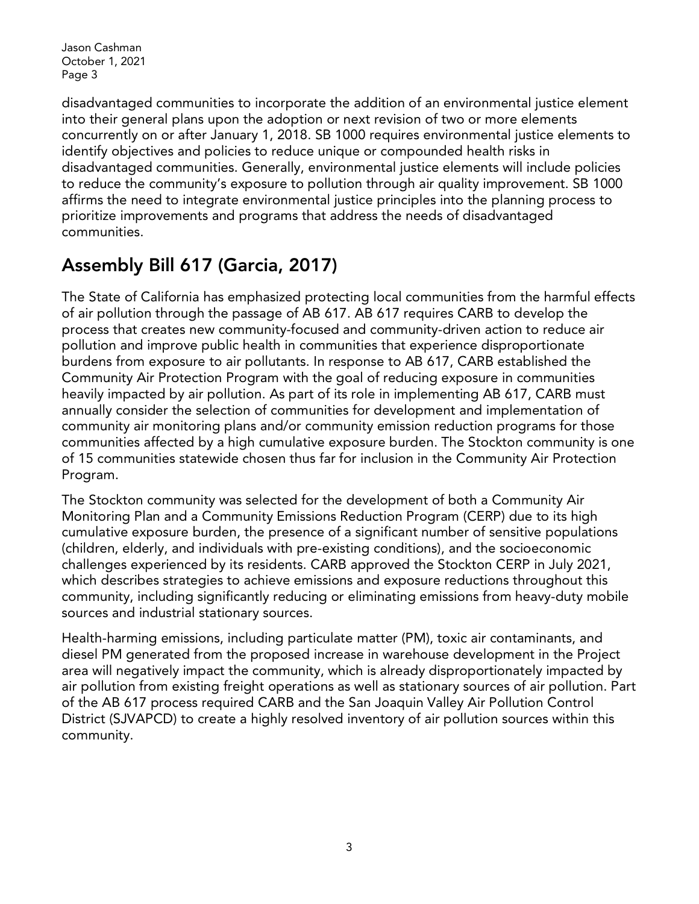disadvantaged communities to incorporate the addition of an environmental justice element into their general plans upon the adoption or next revision of two or more elements concurrently on or after January 1, 2018. SB 1000 requires environmental justice elements to identify objectives and policies to reduce unique or compounded health risks in disadvantaged communities. Generally, environmental justice elements will include policies to reduce the community's exposure to pollution through air quality improvement. SB 1000 affirms the need to integrate environmental justice principles into the planning process to prioritize improvements and programs that address the needs of disadvantaged communities.

# Assembly Bill 617 (Garcia, 2017)

The State of California has emphasized protecting local communities from the harmful effects of air pollution through the passage of AB 617. AB 617 requires CARB to develop the process that creates new community-focused and community-driven action to reduce air pollution and improve public health in communities that experience disproportionate burdens from exposure to air pollutants. In response to AB 617, CARB established the Community Air Protection Program with the goal of reducing exposure in communities heavily impacted by air pollution. As part of its role in implementing AB 617, CARB must annually consider the selection of communities for development and implementation of community air monitoring plans and/or community emission reduction programs for those communities affected by a high cumulative exposure burden. The Stockton community is one of 15 communities statewide chosen thus far for inclusion in the Community Air Protection Program.

The Stockton community was selected for the development of both a Community Air Monitoring Plan and a Community Emissions Reduction Program (CERP) due to its high cumulative exposure burden, the presence of a significant number of sensitive populations (children, elderly, and individuals with pre-existing conditions), and the socioeconomic challenges experienced by its residents. CARB approved the Stockton CERP in July 2021, which describes strategies to achieve emissions and exposure reductions throughout this community, including significantly reducing or eliminating emissions from heavy-duty mobile sources and industrial stationary sources.

Health-harming emissions, including particulate matter (PM), toxic air contaminants, and diesel PM generated from the proposed increase in warehouse development in the Project area will negatively impact the community, which is already disproportionately impacted by air pollution from existing freight operations as well as stationary sources of air pollution. Part of the AB 617 process required CARB and the San Joaquin Valley Air Pollution Control District (SJVAPCD) to create a highly resolved inventory of air pollution sources within this community.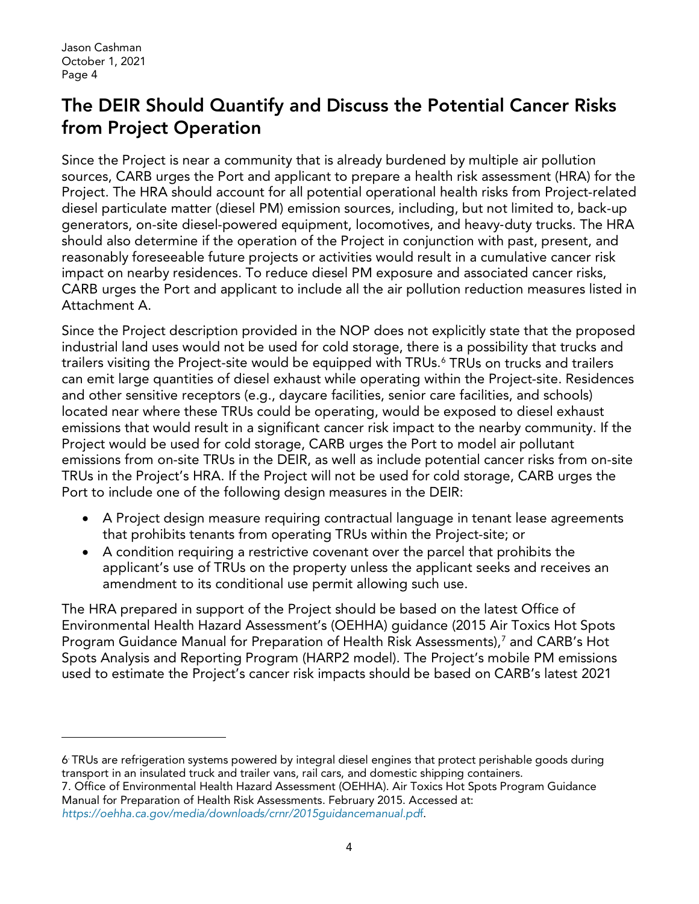## The DEIR Should Quantify and Discuss the Potential Cancer Risks from Project Operation

Since the Project is near a community that is already burdened by multiple air pollution sources, CARB urges the Port and applicant to prepare a health risk assessment (HRA) for the Project. The HRA should account for all potential operational health risks from Project-related diesel particulate matter (diesel PM) emission sources, including, but not limited to, back-up generators, on-site diesel-powered equipment, locomotives, and heavy‑duty trucks. The HRA should also determine if the operation of the Project in conjunction with past, present, and reasonably foreseeable future projects or activities would result in a cumulative cancer risk impact on nearby residences. To reduce diesel PM exposure and associated cancer risks, CARB urges the Port and applicant to include all the air pollution reduction measures listed in Attachment A.

Since the Project description provided in the NOP does not explicitly state that the proposed industrial land uses would not be used for cold storage, there is a possibility that trucks and trailers visiting the Project-site would be equipped with TRUs. [6](#page-11-0) TRUs on trucks and trailers can emit large quantities of diesel exhaust while operating within the Project-site. Residences and other sensitive receptors (e.g., daycare facilities, senior care facilities, and schools) located near where these TRUs could be operating, would be exposed to diesel exhaust emissions that would result in a significant cancer risk impact to the nearby community. If the Project would be used for cold storage, CARB urges the Port to model air pollutant emissions from on-site TRUs in the DEIR, as well as include potential cancer risks from on-site TRUs in the Project's HRA. If the Project will not be used for cold storage, CARB urges the Port to include one of the following design measures in the DEIR:

- A Project design measure requiring contractual language in tenant lease agreements that prohibits tenants from operating TRUs within the Project-site; or
- A condition requiring a restrictive covenant over the parcel that prohibits the applicant's use of TRUs on the property unless the applicant seeks and receives an amendment to its conditional use permit allowing such use.

The HRA prepared in support of the Project should be based on the latest Office of Environmental Health Hazard Assessment's (OEHHA) guidance (2015 Air Toxics Hot Spots Program Guidance Manual for Preparation of Health Risk Assessments),<sup>7</sup> and CARB's Hot Spots Analysis and Reporting Program (HARP2 model). The Project's mobile PM emissions used to estimate the Project's cancer risk impacts should be based on CARB's latest 2021

<span id="page-11-0"></span><sup>6.</sup> TRUs are refrigeration systems powered by integral diesel engines that protect perishable goods during transport in an insulated truck and trailer vans, rail cars, and domestic shipping containers.

<span id="page-11-1"></span><sup>7.</sup> Office of Environmental Health Hazard Assessment (OEHHA). Air Toxics Hot Spots Program Guidance Manual for Preparation of Health Risk Assessments. February 2015. Accessed at: *[https://oehha.ca.gov/media/downloads/crnr/2015guidancemanual.pd](https://oehha.ca.gov/media/downloads/crnr/2015guidancemanual.pdf)*[f.](https://oehha.ca.gov/media/downloads/crnr/2015guidancemanual.pdf)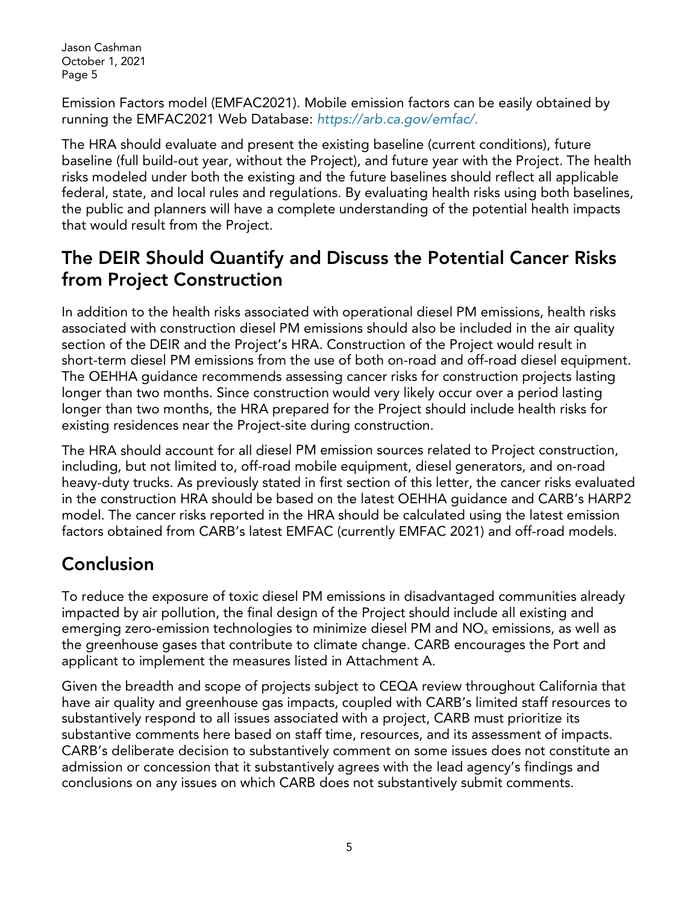Emission Factors model (EMFAC2021). Mobile emission factors can be easily obtained by running the EMFAC2021 Web Database: *https://arb.ca.gov/emfac/.*

The HRA should evaluate and present the existing baseline (current conditions), future baseline (full build-out year, without the Project), and future year with the Project. The health risks modeled under both the existing and the future baselines should reflect all applicable federal, state, and local rules and regulations. By evaluating health risks using both baselines, the public and planners will have a complete understanding of the potential health impacts that would result from the Project.

## The DEIR Should Quantify and Discuss the Potential Cancer Risks from Project Construction

In addition to the health risks associated with operational diesel PM emissions, health risks associated with construction diesel PM emissions should also be included in the air quality section of the DEIR and the Project's HRA. Construction of the Project would result in short-term diesel PM emissions from the use of both on-road and off-road diesel equipment. The OEHHA guidance recommends assessing cancer risks for construction projects lasting longer than two months. Since construction would very likely occur over a period lasting longer than two months, the HRA prepared for the Project should include health risks for existing residences near the Project-site during construction.

The HRA should account for all diesel PM emission sources related to Project construction, including, but not limited to, off-road mobile equipment, diesel generators, and on-road heavy-duty trucks. As previously stated in first section of this letter, the cancer risks evaluated in the construction HRA should be based on the latest OEHHA guidance and CARB's HARP2 model. The cancer risks reported in the HRA should be calculated using the latest emission factors obtained from CARB's latest EMFAC (currently EMFAC 2021) and off-road models.

# Conclusion

To reduce the exposure of toxic diesel PM emissions in disadvantaged communities already impacted by air pollution, the final design of the Project should include all existing and emerging zero-emission technologies to minimize diesel PM and NO<sub>x</sub> emissions, as well as the greenhouse gases that contribute to climate change. CARB encourages the Port and applicant to implement the measures listed in Attachment A.

Given the breadth and scope of projects subject to CEQA review throughout California that have air quality and greenhouse gas impacts, coupled with CARB's limited staff resources to substantively respond to all issues associated with a project, CARB must prioritize its substantive comments here based on staff time, resources, and its assessment of impacts. CARB's deliberate decision to substantively comment on some issues does not constitute an admission or concession that it substantively agrees with the lead agency's findings and conclusions on any issues on which CARB does not substantively submit comments.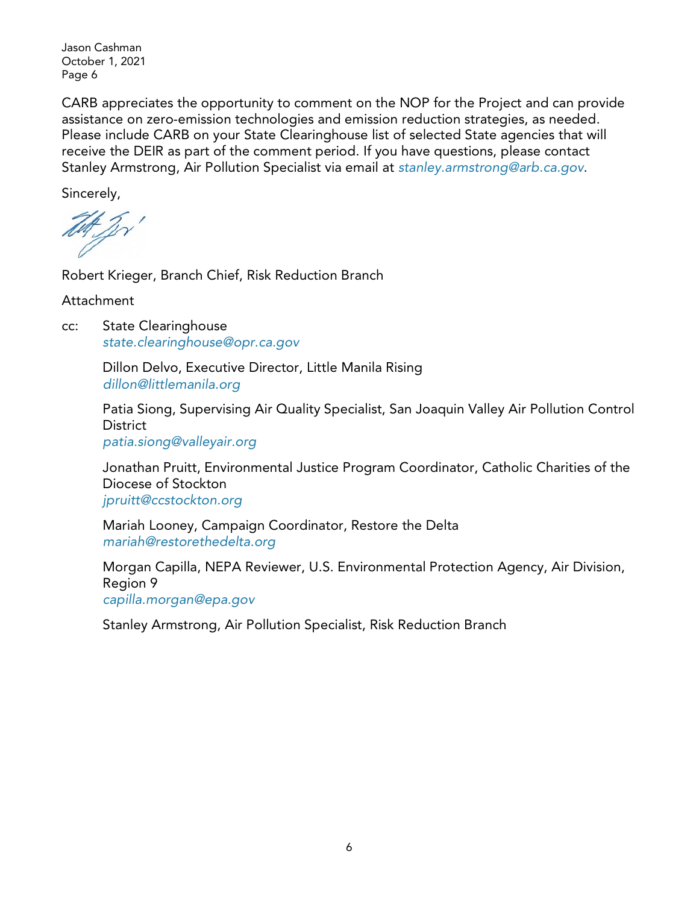CARB appreciates the opportunity to comment on the NOP for the Project and can provide assistance on zero-emission technologies and emission reduction strategies, as needed. Please include CARB on your State Clearinghouse list of selected State agencies that will receive the DEIR as part of the comment period. If you have questions, please contact Stanley Armstrong, Air Pollution Specialist via email at *[stanley.armstrong@arb.ca.gov](mailto:stanley.armstrong@arb.ca.gov)*.

Sincerely,

Tet 2v'

Robert Krieger, Branch Chief, Risk Reduction Branch

Attachment

cc: State Clearinghouse *[state.clearinghouse@opr.ca.gov](mailto:state.clearinghouse@opr.ca.gov)*

> Dillon Delvo, Executive Director, Little Manila Rising *[dillon@littlemanila.org](mailto:dillon@littlemanila.org)*

Patia Siong, Supervising Air Quality Specialist, San Joaquin Valley Air Pollution Control **District** 

*[patia.siong@valleyair.org](mailto:patia.siong@valleyair.org)*

Jonathan Pruitt, Environmental Justice Program Coordinator, Catholic Charities of the Diocese of Stockton *[jpruitt@ccstockton.org](mailto:jpruitt@ccstockton.org)*

Mariah Looney, Campaign Coordinator, Restore the Delta *[mariah@restorethedelta.org](mailto:mariah@restorethedelta.org)*

Morgan Capilla, NEPA Reviewer, U.S. Environmental Protection Agency, Air Division, Region 9 *[capilla.morgan@epa.gov](mailto:capilla.morgan@epa.gov)*

Stanley Armstrong, Air Pollution Specialist, Risk Reduction Branch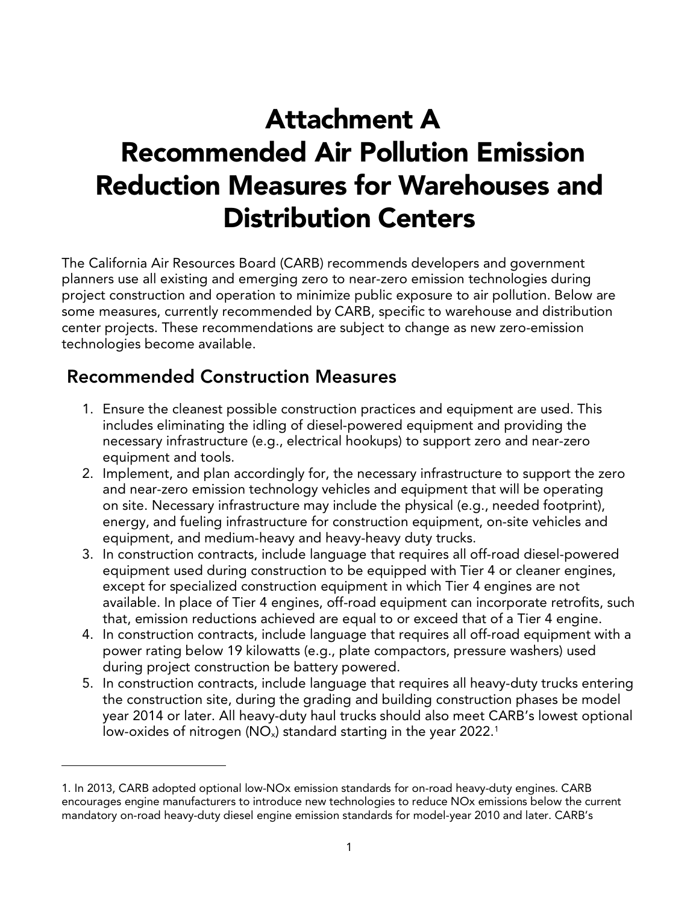# Attachment A Recommended Air Pollution Emission Reduction Measures for Warehouses and Distribution Centers

The California Air Resources Board (CARB) recommends developers and government planners use all existing and emerging zero to near-zero emission technologies during project construction and operation to minimize public exposure to air pollution. Below are some measures, currently recommended by CARB, specific to warehouse and distribution center projects. These recommendations are subject to change as new zero-emission technologies become available.

#### Recommended Construction Measures

- 1. Ensure the cleanest possible construction practices and equipment are used. This includes eliminating the idling of diesel-powered equipment and providing the necessary infrastructure (e.g., electrical hookups) to support zero and near-zero equipment and tools.
- 2. Implement, and plan accordingly for, the necessary infrastructure to support the zero and near-zero emission technology vehicles and equipment that will be operating on site. Necessary infrastructure may include the physical (e.g., needed footprint), energy, and fueling infrastructure for construction equipment, on-site vehicles and equipment, and medium-heavy and heavy-heavy duty trucks.
- 3. In construction contracts, include language that requires all off-road diesel-powered equipment used during construction to be equipped with Tier 4 or cleaner engines, except for specialized construction equipment in which Tier 4 engines are not available. In place of Tier 4 engines, off-road equipment can incorporate retrofits, such that, emission reductions achieved are equal to or exceed that of a Tier 4 engine.
- 4. In construction contracts, include language that requires all off-road equipment with a power rating below 19 kilowatts (e.g., plate compactors, pressure washers) used during project construction be battery powered.
- 5. In construction contracts, include language that requires all heavy-duty trucks entering the construction site, during the grading and building construction phases be model year 2014 or later. All heavy-duty haul trucks should also meet CARB's lowest optional low-oxides of nitrogen ( $NO<sub>x</sub>$ ) standard starting in the year 2022.<sup>[1](#page-14-0)</sup>

<span id="page-14-0"></span><sup>1.</sup> In 2013, CARB adopted optional low-NOx emission standards for on-road heavy-duty engines. CARB encourages engine manufacturers to introduce new technologies to reduce NOx emissions below the current mandatory on-road heavy-duty diesel engine emission standards for model-year 2010 and later. CARB's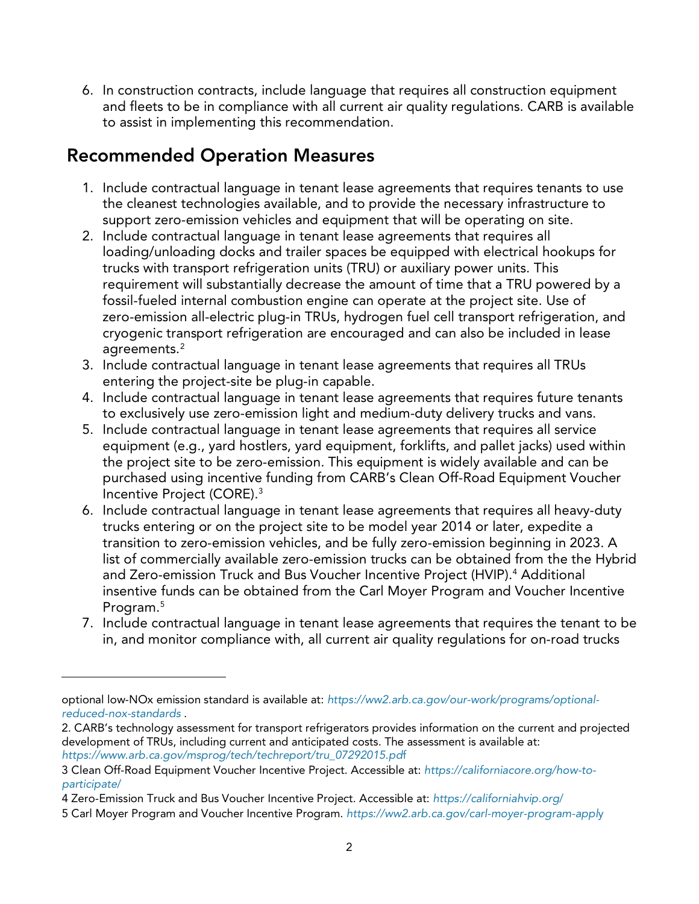6. In construction contracts, include language that requires all construction equipment and fleets to be in compliance with all current air quality regulations. CARB is available to assist in implementing this recommendation.

## Recommended Operation Measures

- 1. Include contractual language in tenant lease agreements that requires tenants to use the cleanest technologies available, and to provide the necessary infrastructure to support zero-emission vehicles and equipment that will be operating on site.
- 2. Include contractual language in tenant lease agreements that requires all loading/unloading docks and trailer spaces be equipped with electrical hookups for trucks with transport refrigeration units (TRU) or auxiliary power units. This requirement will substantially decrease the amount of time that a TRU powered by a fossil-fueled internal combustion engine can operate at the project site. Use of zero-emission all-electric plug-in TRUs, hydrogen fuel cell transport refrigeration, and cryogenic transport refrigeration are encouraged and can also be included in lease agreements.<sup>[2](#page-15-0)</sup>
- 3. Include contractual language in tenant lease agreements that requires all TRUs entering the project-site be plug-in capable.
- 4. Include contractual language in tenant lease agreements that requires future tenants to exclusively use zero-emission light and medium-duty delivery trucks and vans.
- 5. Include contractual language in tenant lease agreements that requires all service equipment (e.g., yard hostlers, yard equipment, forklifts, and pallet jacks) used within the project site to be zero-emission. This equipment is widely available and can be purchased using incentive funding from CARB's Clean Off-Road Equipment Voucher Incentive Project (CORE).[3](#page-15-1)
- 6. Include contractual language in tenant lease agreements that requires all heavy-duty trucks entering or on the project site to be model year 2014 or later, expedite a transition to zero-emission vehicles, and be fully zero-emission beginning in 2023. A list of commercially available zero-emission trucks can be obtained from the the Hybrid and Zero-emission Truck and Bus Voucher Incentive Project (HVIP).<sup>4</sup> Additional insentive funds can be obtained from the Carl Moyer Program and Voucher Incentive Program[.5](#page-15-3)
- 7. Include contractual language in tenant lease agreements that requires the tenant to be in, and monitor compliance with, all current air quality regulations for on-road trucks

optional low-NOx emission standard is available at: *[https://ww2.arb.ca.gov/our-work/programs/optional](https://ww2.arb.ca.gov/our-work/programs/optional-reduced-nox-standards)[reduced-nox-standards](https://ww2.arb.ca.gov/our-work/programs/optional-reduced-nox-standards)* .

<span id="page-15-0"></span><sup>2.</sup> CARB's technology assessment for transport refrigerators provides information on the current and projected development of TRUs, including current and anticipated costs. The assessment is available at: *[https://www.arb.ca.gov/msprog/tech/techreport/tru\\_07292015.pd](https://www.arb.ca.gov/msprog/tech/techreport/tru_07292015.pdf)*[f](https://www.arb.ca.gov/msprog/tech/techreport/tru_07292015.pdf) 

<span id="page-15-1"></span><sup>3</sup> Clean Off-Road Equipment Voucher Incentive Project. Accessible at: *[https://californiacore.org/how-to](https://californiacore.org/how-to-participate/)[participate](https://californiacore.org/how-to-participate/)*/

<span id="page-15-2"></span><sup>4</sup> Zero-Emission Truck and Bus Voucher Incentive Project. Accessible at: *[https://californiahvip.org](https://californiahvip.org/)*[/](https://californiahvip.org/) 

<span id="page-15-3"></span><sup>5</sup> Carl Moyer Program and Voucher Incentive Program. *[https://ww2.arb.ca.gov/carl-moyer-program-appl](https://ww2.arb.ca.gov/carl-moyer-program-apply)*[y](https://ww2.arb.ca.gov/carl-moyer-program-apply)